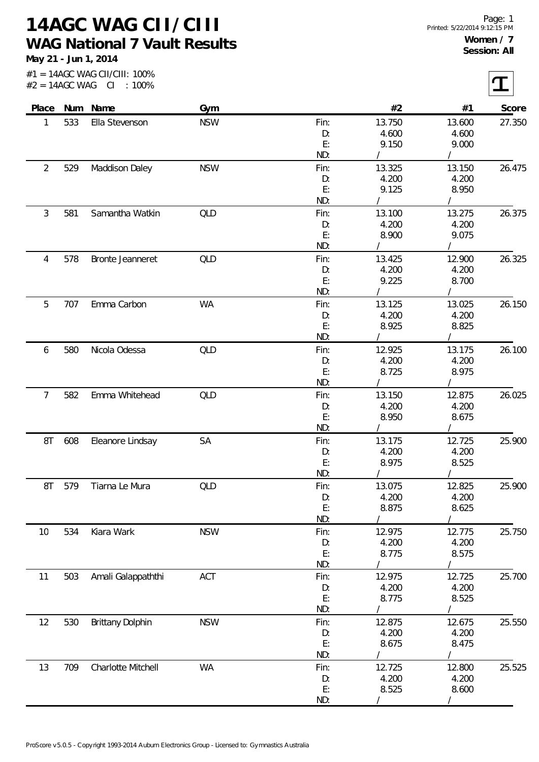**14AGC WAG CII/CIII WAG National 7 Vault Results**

**May 21 - Jun 1, 2014**

 $|\boldsymbol{\tau}|$ 

#1 = 14AGC WAG CII/CIII: 100%  $#2 = 14AGC WAG$  CI : 100%

| Place          |     | Num Name                | Gym        |            | #2              | #1              | Score  |
|----------------|-----|-------------------------|------------|------------|-----------------|-----------------|--------|
| 1              | 533 | Ella Stevenson          | <b>NSW</b> | Fin:       | 13.750          | 13.600          | 27.350 |
|                |     |                         |            | D:         | 4.600           | 4.600           |        |
|                |     |                         |            | E:         | 9.150           | 9.000           |        |
|                |     |                         |            | ND:        |                 |                 |        |
| $\overline{2}$ | 529 | Maddison Daley          | <b>NSW</b> | Fin:       | 13.325          | 13.150          | 26.475 |
|                |     |                         |            | D:         | 4.200           | 4.200           |        |
|                |     |                         |            | E:         | 9.125           | 8.950           |        |
|                |     |                         |            | ND:        |                 |                 |        |
| 3              | 581 | Samantha Watkin         | QLD        | Fin:       | 13.100          | 13.275          | 26.375 |
|                |     |                         |            | D:         | 4.200           | 4.200           |        |
|                |     |                         |            | E:         | 8.900           | 9.075           |        |
|                |     |                         |            | ND:        |                 |                 |        |
| 4              | 578 | Bronte Jeanneret        | QLD        | Fin:       | 13.425          | 12.900          | 26.325 |
|                |     |                         |            | D:         | 4.200           | 4.200           |        |
|                |     |                         |            | E:         | 9.225           | 8.700           |        |
|                |     |                         |            | ND:        |                 |                 |        |
| 5              | 707 | Emma Carbon             | <b>WA</b>  | Fin:       | 13.125          | 13.025          | 26.150 |
|                |     |                         |            | D:         | 4.200           | 4.200           |        |
|                |     |                         |            | E:         | 8.925           | 8.825           |        |
|                |     |                         |            | ND:        |                 |                 |        |
| 6              | 580 | Nicola Odessa           | QLD        | Fin:       | 12.925          | 13.175          | 26.100 |
|                |     |                         |            | D:         | 4.200           | 4.200           |        |
|                |     |                         |            | E:         | 8.725           | 8.975           |        |
|                |     |                         |            | ND:        |                 |                 |        |
| $\overline{7}$ | 582 | Emma Whitehead          | QLD        | Fin:       | 13.150          | 12.875          | 26.025 |
|                |     |                         |            | D:         | 4.200           | 4.200           |        |
|                |     |                         |            | E:<br>ND:  | 8.950           | 8.675           |        |
|                |     |                         | SA         |            |                 |                 | 25.900 |
| 8T             | 608 | Eleanore Lindsay        |            | Fin:<br>D: | 13.175<br>4.200 | 12.725<br>4.200 |        |
|                |     |                         |            | E:         | 8.975           | 8.525           |        |
|                |     |                         |            | ND:        |                 |                 |        |
| 8T             | 579 | Tiarna Le Mura          | QLD        | Fin:       | 13.075          | 12.825          | 25.900 |
|                |     |                         |            | D:         | 4.200           | 4.200           |        |
|                |     |                         |            | E:         | 8.875           | 8.625           |        |
|                |     |                         |            | ND:        |                 |                 |        |
| 10             | 534 | Kiara Wark              | <b>NSW</b> | Fin:       | 12.975          | 12.775          | 25.750 |
|                |     |                         |            | D:         | 4.200           | 4.200           |        |
|                |     |                         |            | E:         | 8.775           | 8.575           |        |
|                |     |                         |            | ND:        |                 |                 |        |
| 11             | 503 | Amali Galappaththi      | ACT        | Fin:       | 12.975          | 12.725          | 25.700 |
|                |     |                         |            | D:         | 4.200           | 4.200           |        |
|                |     |                         |            | E:         | 8.775           | 8.525           |        |
|                |     |                         |            | ND:        |                 |                 |        |
| 12             | 530 | <b>Brittany Dolphin</b> | <b>NSW</b> | Fin:       | 12.875          | 12.675          | 25.550 |
|                |     |                         |            | D:         | 4.200           | 4.200           |        |
|                |     |                         |            | E:         | 8.675           | 8.475           |        |
|                |     |                         |            | ND:        |                 |                 |        |
| 13             | 709 | Charlotte Mitchell      | <b>WA</b>  | Fin:       | 12.725          | 12.800          | 25.525 |
|                |     |                         |            | D:         | 4.200           | 4.200           |        |
|                |     |                         |            | E:         | 8.525           | 8.600           |        |
|                |     |                         |            | ND:        |                 |                 |        |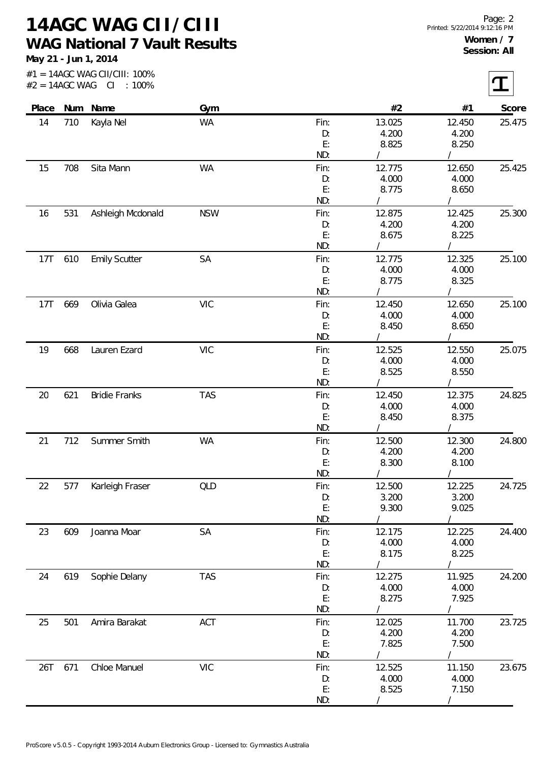**14AGC WAG CII/CIII WAG National 7 Vault Results**

**May 21 - Jun 1, 2014**

|       |     | #1 = 14AGC WAG CII/CIII: 100%<br>$#2 = 14AGC WAG CI : 100\%$ |            |          |                   |            |        |
|-------|-----|--------------------------------------------------------------|------------|----------|-------------------|------------|--------|
| Place |     | Num Name                                                     | Gym        |          | #2                | #1         | Score  |
| 14    | 710 | Kayla Nel                                                    | WA         | Fin:     | 13.025            | 12.450     | 25.475 |
|       |     |                                                              |            | D:       | 4.200             | 4.200      |        |
|       |     |                                                              |            | E:       | 8.825             | 8.250      |        |
|       |     |                                                              |            | ND:      |                   |            |        |
| 15    | 708 | Sita Mann                                                    | <b>WA</b>  | Fin:     | 12.775            | 12.650     | 25.425 |
|       |     |                                                              |            | D:       | 4.000             | 4.000      |        |
|       |     |                                                              |            | E:       | 8.775             | 8.650      |        |
|       |     |                                                              |            | ND:      |                   |            |        |
| 16    | 531 | Ashleigh Mcdonald                                            | <b>NSW</b> | Fin:     | 12.875            | 12.425     | 25.300 |
|       |     |                                                              |            | D:       | 4.200             | 4.200      |        |
|       |     |                                                              |            | E:       | 8.675             | 8.225      |        |
|       |     |                                                              |            | ND:      |                   |            |        |
| 17T   | 610 | <b>Emily Scutter</b>                                         | SA         | Fin:     | 12.775            | 12.325     | 25.100 |
|       |     |                                                              |            | D:       | 4.000             | 4.000      |        |
|       |     |                                                              |            | E:       | 8.775             | 8.325      |        |
|       |     |                                                              |            | ND:      |                   |            |        |
| 17T   | 669 | Olivia Galea                                                 | <b>VIC</b> | Fin:     | 12.450            | 12.650     | 25.100 |
|       |     |                                                              |            | D:       | 4.000             | 4.000      |        |
|       |     |                                                              |            | E:       | 8.450             | 8.650      |        |
|       |     |                                                              |            | ND:      |                   |            |        |
| 19    | 668 | Lauren Ezard                                                 | <b>VIC</b> | Fin:     | 12.525            | 12.550     | 25.075 |
|       |     |                                                              |            |          |                   | 4.000      |        |
|       |     |                                                              |            | D:<br>E: | 4.000<br>8.525    |            |        |
|       |     |                                                              |            | ND:      |                   | 8.550      |        |
|       |     |                                                              |            |          |                   |            |        |
| 20    | 621 | <b>Bridie Franks</b>                                         | <b>TAS</b> | Fin:     | 12.450            | 12.375     | 24.825 |
|       |     |                                                              |            | D:       | 4.000             | 4.000      |        |
|       |     |                                                              |            | E:       | 8.450             | 8.375      |        |
|       |     |                                                              |            | ND:      |                   |            |        |
| 21    | 712 | Summer Smith                                                 | WA         | Fin:     | 12.500            | 12.300     | 24.800 |
|       |     |                                                              |            | D:       | 4.200             | 4.200      |        |
|       |     |                                                              |            | E:       | 8.300<br>$\prime$ | 8.100      |        |
|       |     |                                                              |            | ND:      |                   | $\sqrt{2}$ |        |
| 22    | 577 | Karleigh Fraser                                              | QLD        | Fin:     | 12.500            | 12.225     | 24.725 |
|       |     |                                                              |            | D:       | 3.200             | 3.200      |        |
|       |     |                                                              |            | E:       | 9.300             | 9.025      |        |
|       |     |                                                              |            | ND:      |                   |            |        |
| 23    | 609 | Joanna Moar                                                  | SA         | Fin:     | 12.175            | 12.225     | 24.400 |
|       |     |                                                              |            | D:       | 4.000             | 4.000      |        |
|       |     |                                                              |            | E:       | 8.175             | 8.225      |        |
|       |     |                                                              |            | ND:      |                   |            |        |
| 24    | 619 | Sophie Delany                                                | <b>TAS</b> | Fin:     | 12.275            | 11.925     | 24.200 |
|       |     |                                                              |            | D:       | 4.000             | 4.000      |        |
|       |     |                                                              |            | E:       | 8.275             | 7.925      |        |
|       |     |                                                              |            | ND:      |                   |            |        |
| 25    | 501 | Amira Barakat                                                | ACT        | Fin:     | 12.025            | 11.700     | 23.725 |
|       |     |                                                              |            | D:       | 4.200             | 4.200      |        |
|       |     |                                                              |            | E:       | 7.825             | 7.500      |        |
|       |     |                                                              |            | ND:      |                   |            |        |
| 26T   | 671 | Chloe Manuel                                                 | <b>VIC</b> | Fin:     | 12.525            | 11.150     | 23.675 |
|       |     |                                                              |            | D:       | 4.000             | 4.000      |        |
|       |     |                                                              |            | E:       | 8.525             | 7.150      |        |
|       |     |                                                              |            | ND:      |                   |            |        |